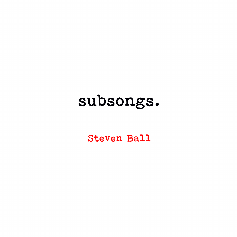# subsongs.

**Steven Ball**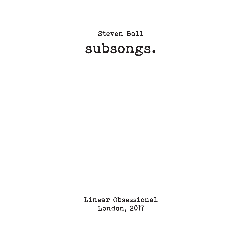# Steven Ball subsongs.

Linear Obsessional London, 2017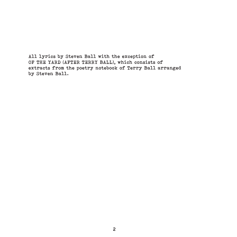All lyrics by Steven Ball with the exception of OF THE YARD (AFTER TERRY BALL), which consists of extracts from the poetry notebook of Terry Ball arranged by Steven Ball.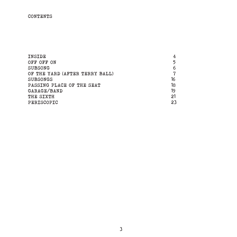# CONTENTS

| INSIDE                         | 4  |
|--------------------------------|----|
| OFF OFF ON                     | 5  |
| <b>SUBSONG</b>                 | 6  |
| OF THE YARD (AFTER TERRY BALL) | 7  |
| <b>SUBSONGS</b>                | 16 |
| PASSING PLACE OF THE SEAT      | 18 |
| GARAGE/BAND                    | 19 |
| THE SIXTH                      | 21 |
| PERISCOPIC                     | 23 |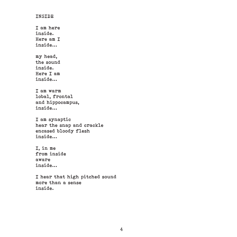# INSIDE

I am here inside. Here am I inside...

my head, the sound inside. Here I am inside...

I am warm lobal, frontal and hippocampus, inside...

I am synaptic hear the snap and crackle encased bloody flesh inside...

I, in me from inside aware inside...

I hear that high pitched sound more than a sense inside.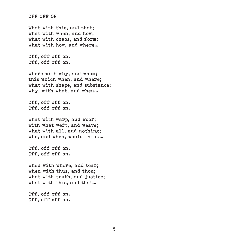OFF OFF ON

What with this, and that; what with when, and how; what with chaos, and form; what with how, and where…

Off, off off on. Off, off off on.

Where with why, and whom; this which when, and where; what with shape, and substance; why, with what, and when…

Off, off off on. Off, off off on.

What with warp, and woof: with what weft, and weave; what with all, and nothing; who, and when, would think…

Off, off off on. Off, off off on.

When with where, and tear; when with thus, and thou; what with truth, and justice; what with this, and that…

Off, off off on. Off, off off on.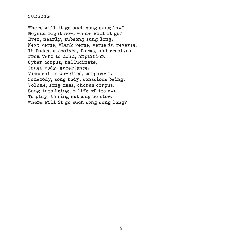#### SUBSONG

Where will it go such song sung low? Beyond right now, where will it go? Ever, nearly, subsong sung long. Next verse, blank verse, verse in reverse. It fades, dissolves, forms, and resolves, from verb to noun, amplifier. Cyber corpus, hallucinate, inner body, experience. Visceral, embowelled, corporeal. Somebody, song body, conscious being. Volume, song mass, chorus corpus. Sung into being, a life of its own. To play, to sing subsong so slow. Where will it go such song sung long?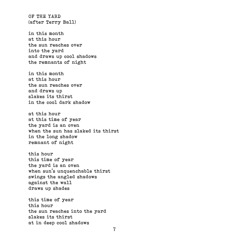OF THE YARD (after Terry Ball)

in this month at this hour the sun reaches over into the yard and draws up cool shadows the remnants of night

in this month at this hour the sun reaches over and draws up slakes its thirst in the cool dark shadow

at this hour at this time of year the yard is an oven when the sun has slaked its thirst in the long shadow remnant of night

this hour this time of year the yard is an oven when sun's unquenchable thirst swings the angled shadows against the wall draws up shades

this time of year this hour the sun reaches into the yard slakes its thirst at in deep cool shadows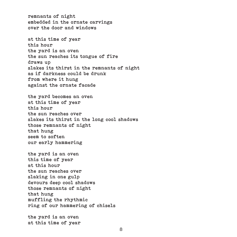remnants of night embedded in the ornate carvings over the door and windows

at this time of year this hour the yard is an oven the sun reaches its tongue of fire draws up slakes its thirst in the remnants of night as if darkness could be drunk from where it hung against the ornate facade

the yard becomes an oven at this time of year this hour the sun reaches over slakes its thirst in the long cool shadows those remnants of night that hung seem to soften our early hammering

the yard is an oven this time of year at this hour the sun reaches over slaking in one gulp devours deep cool shadows those remnants of night that hung muffling the rhythmic ring of our hammering of chisels

the yard is an oven at this time of year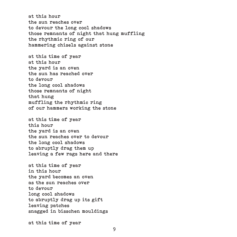at this hour the sun reaches over to devour the long cool shadows those remnants of night that hung muffling the rhythmic ring of our hammering chisels against stone

at this time of year at this hour the yard is an oven the sun has reached over to devour the long cool shadows those remnants of night that hung muffling the rhythmic ring of our hammers working the stone

at this time of year this hour the yard is an oven the sun reaches over to devour the long cool shadows to abruptly drag them up leaving a few rags here and there

at this time of year in this hour the yard becomes an oven as the sun reaches over to devour long cool shadows to abruptly drag up its gift leaving patches snagged in bisschen mouldings

at this time of year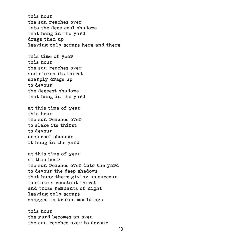this hour the sun reaches over into the deep cool shadows that hang in the yard drags them up leaving only scraps here and there

this time of year this hour the sun reaches over and slakes its thirst sharply drags up to devour the deepest shadows that hang in the yard

at this time of year this hour the sun reaches over to slake its thirst to devour deep cool shadows it hung in the yard

at this time of year at this hour the sun reaches over into the yard to devour the deep shadows that hung there giving us succour to slake a constant thirst and those remnants of night leaving only scraps snagged in broken mouldings

this hour the yard becomes an oven the sun reaches over to devour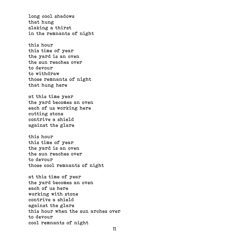long cool shadows that hung slaking a thirst in the remnants of night

this hour this time of year the yard is an oven the sun reaches over to devour to withdraw those remnants of night that hung here

at this time year the yard becomes an oven each of us working here cutting stone contrive a shield against the glare

this hour this time of year the yard is an oven the sun reaches over to devour those cool remnants of night

at this time of year the yard becomes an oven each of us here working with stone contrive a shield against the glare this hour when the sun arches over to devour cool remnants of night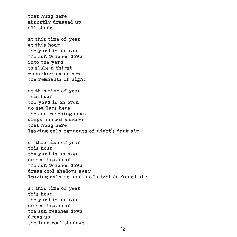that hung here abruptly dragged up all shade

at this time of year at this hour the yard is an oven the sun reaches down into the yard to slake a thirst when darkness draws the remnants of night

at this time of year this hour the yard is an oven no sea laps here the sun reaching down drags up cool shadows that hung here leaving only remnants of night's dark air

at this time of year this hour the yard is an oven no sea laps near the sun reaches down drags cool shadows away leaving only remnants of night darkened air

at this time of year this hour the yard is an oven no sea laps near the sun reaches down drags up the long cool shadows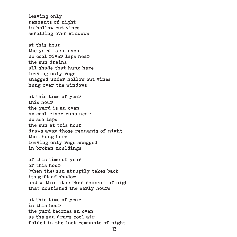leaving only remnants of night in hollow cut vines scrolling over windows

at this hour the yard is an oven no cool river laps near the sun drains all shade that hung here leaving only rags snagged under hollow cut vines hung over the windows

at this time of year this hour the yard is an oven no cool river runs near no sea laps the sun at this hour draws away those remnants of night that hung here leaving only rags snagged in broken mouldings

of this time of year of this hour (when the) sun abruptly takes back its gift of shadow and within it darker remnant of night that nourished the early hours

at this time of year in this hour the yard becomes an oven as the sun draws cool air folded in the last remnants of night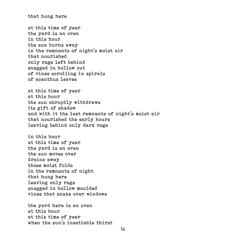that hung here

at this time of year the yard is an oven in this hour the sun burns away in the remnants of night's moist air that nourished only rags left behind snagged in hollow cut of vines scrolling in spirals of acanthus leaves

at this time of year at this hour the sun abruptly withdraws its gift of shadow and with it the last remnants of night's moist air that nourished the early hours leaving behind only dark rags

in this hour at this time of year the yard is an oven the sun moves over drains away those moist folds in the remnants of night that hung here leaving only rags snagged in hollow moulded vines that snake over windows

the yard here is an oven at this hour at this time of year when the sun's insatiable thirst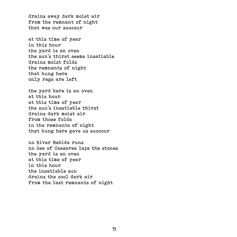drains away dark moist air from the remnant of night that was our succour

at this time of year in this hour the yard is an oven the sun's thirst seems insatiable drains moist folds the remnants of night that hung here only rags are left

the yard here is an oven at this hour at this time of year the sun's insatiable thirst drains dark moist air from those folds in the remnants of night that hung here gave us succour

no River Bebida runs no Sea of Caesarea laps the stones the yard is an oven at this time of year in this hour the insatiable sun drains the cool dark air from the last remnants of night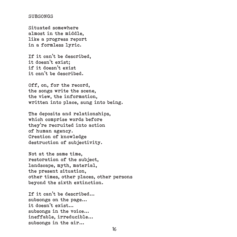#### SUBSONGS

Situated somewhere almost in the middle, like a progress report in a formless lyric.

If it can't be described, it doesn't exist; if it doesn't exist it can't be described.

Off, on, for the record, the songs write the scene, the view, the information, written into place, sung into being.

The deposits and relationships, which comprise words before they're recruited into action of human agency. Creation of knowledge destruction of subjectivity.

Not at the same time, restoration of the subject, landscape, myth, material, the present situation, other times, other places, other persons beyond the sixth extinction.

If it can't be described... subsongs on the page... it doesn't exist... subsongs in the voice... ineffable, irreducible... subsongs in the air...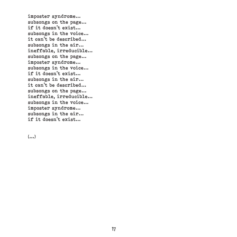imposter syndrome... subsongs on the page... if it doesn't exist... subsongs in the voice... it can't be described... subsongs in the air... ineffable, irreducible... subsongs on the page... imposter syndrome... subsongs in the voice... if it doesn't exist... subsongs in the air... it can't be described... subsongs on the page... ineffable, irreducible... subsongs in the voice... imposter syndrome... subsongs in the air... if it doesn't exist...

 $(\ldots)$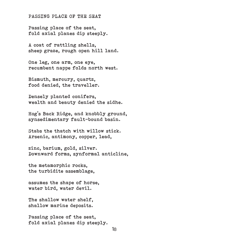#### PASSING PLACE OF THE SEAT

Passing place of the seat, fold axial planes dip steeply.

A coat of rattling shells, sheep graze, rough open hill land.

One leg, one arm, one eye, recumbent nappe folds north west.

Bismuth, mercury, quartz, food denied, the traveller.

Densely planted conifers, wealth and beauty denied the sidhe.

Hog's Back Ridge, and knobbly ground, synsedimentary fault-bound basin.

Stabs the thatch with willow stick. Arsenic, antimony, copper, lead,

zinc, barium, gold, silver. Downward forms, synformal anticline,

the metamorphic rocks, the turbidite assemblage,

assumes the shape of horse, water bird, water devil.

The shallow water shelf, shallow marine deposits.

Passing place of the seat, fold axial planes dip steeply.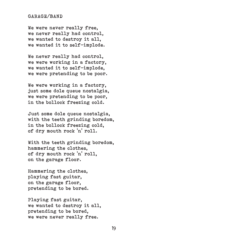## GARAGE/BAND

We were never really free. we never really had control, we wanted to destroy it all, we wanted it to self-implode.

We never really had control. we were working in a factory, we wanted it to self-implode, we were pretending to be poor.

We were working in a factory, just some dole queue nostalgia, we were pretending to be poor, in the bollock freezing cold.

Just some dole queue nostalgia, with the teeth grinding boredom. in the bollock freezing cold, of dry mouth rock 'n' roll.

With the teeth grinding boredom, hammering the clothes, of dry mouth rock 'n' roll, on the garage floor.

Hammering the clothes, playing fast guitar, on the garage floor, pretending to be bored.

Playing fast guitar, we wanted to destroy it all, pretending to be bored, we were never really free.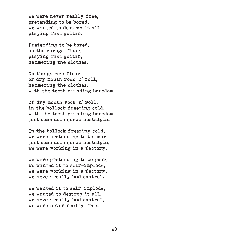We were never really free, pretending to be bored, we wanted to destroy it all, playing fast guitar.

Pretending to be bored, on the garage floor, playing fast guitar, hammering the clothes.

On the garage floor, of dry mouth rock 'n' roll, hammering the clothes, with the teeth grinding boredom.

Of dry mouth rock 'n' roll, in the bollock freezing cold, with the teeth grinding boredom, just some dole queue nostalgia.

In the bollock freezing cold, we were pretending to be poor, just some dole queue nostalgia, we were working in a factory.

We were pretending to be poor, we wanted it to self-implode, we were working in a factory, we never really had control.

We wanted it to self-implode. we wanted to destroy it all, we never really had control, we were never really free.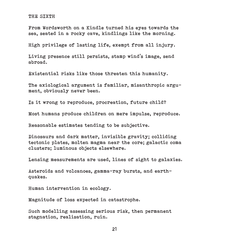#### THE SIXTH

From Wordsworth on a Kindle turned his eyes towards the sea, seated in a rocky cave, kindlings like the morning.

High privilege of lasting life, exempt from all injury.

Living presence still persists, stamp wind's image, send abroad.

Existential risks like those threaten this humanity.

The axiological argument is familiar, misanthropic argument, obviously never been.

Is it wrong to reproduce, procreation, future child?

Most humans produce children on mere impulse, reproduce.

Reasonable estimates tending to be subjective.

Dinosaurs and dark matter, invisible gravity; colliding tectonic plates, molten magma near the core; galactic coma clusters; luminous objects elsewhere.

Lensing measurements are used, lines of sight to galaxies.

Asteroids and volcanoes, gamma-ray bursts, and earthquakes.

Human intervention in ecology.

Magnitude of loss expected in catastrophe.

Such modelling assessing serious risk, then permanent stagnation, realisation, ruin.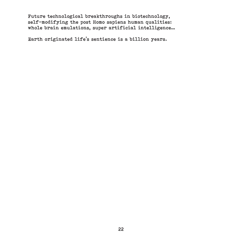Future technological breakthroughs in biotechnology, self-modifying the post Homo sapiens human qualities: whole brain emulations, super artificial intelligence…

Earth originated life's sentience is a billion years.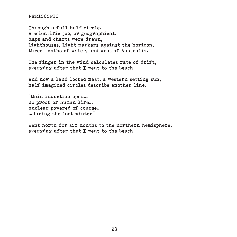## PERISCOPIC

Through a full half circle. A scientific job, or geographical. Maps and charts were drawn, lighthouses, light markers against the horizon, three months of water, and west of Australia.

The finger in the wind calculates rate of drift, everyday after that I went to the beach.

And now a land locked mast, a western setting sun, half imagined circles describe another line.

"Main induction open… no proof of human life… nuclear powered of course… …during the last winter"

Went north for six months to the northern hemisphere, everyday after that I went to the beach.